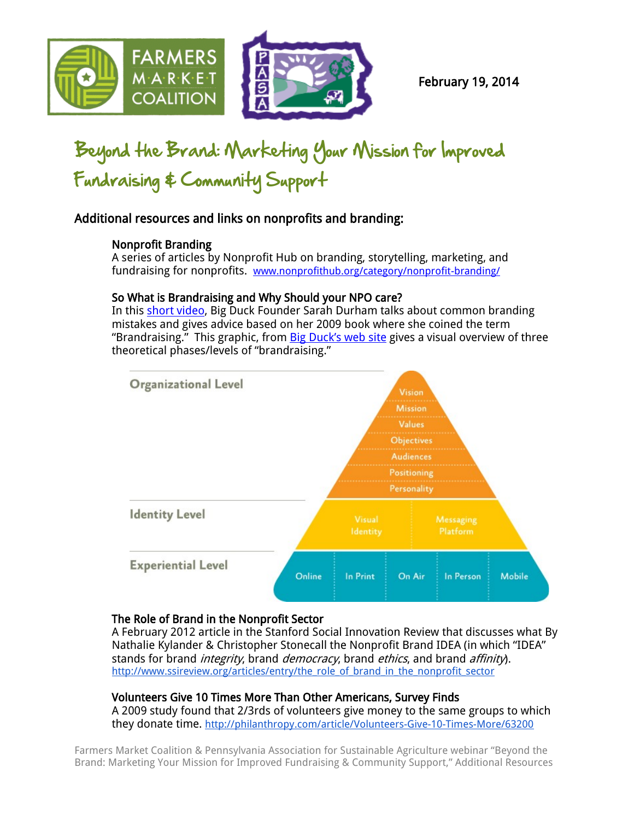

# Beyond the Brand: Marketing Your Mission for Improved Fundraising & Community Support

# Additional resources and links on nonprofits and branding:

## Nonprofit Branding

A series of articles by Nonprofit Hub on branding, storytelling, marketing, and fundraising for nonprofits. [www.nonprofithub.org/category/nonprofit-branding/](http://www.nonprofithub.org/category/nonprofit-branding/)

## So What is Brandraising and Why Should your NPO care?

In this [short video,](http://www.nonprofithub.org/nonprofit-branding/so-what-is-brandraising-and-why-should-your-npo-care) [Big Duck](http://bigducknyc.com/) Founder Sarah Durham talks about common branding mistakes and gives advice based on her 2009 book where she coined the term "Brandraising." This graphic, from **Big Duck's web site** gives a visual overview of three theoretical phases/levels of "brandraising."



#### The Role of Brand in the Nonprofit Sector

A February 2012 article in the Stanford Social Innovation Review that discusses what By [Nathalie Kylander & Christopher Stonec](http://www.ssireview.org/articles/entry/the_role_of_brand_in_the_nonprofit_sector#bio-footer)all the Nonprofit Brand IDEA (in which "IDEA" stands for brand *integrity*, brand *democracy*, brand *ethics*, and brand *affinity*). [http://www.ssireview.org/articles/entry/the\\_role\\_of\\_brand\\_in\\_the\\_nonprofit\\_sector](http://www.ssireview.org/articles/entry/the_role_of_brand_in_the_nonprofit_sector)

## Volunteers Give 10 Times More Than Other Americans, Survey Finds

A 2009 study found that 2/3rds of volunteers give money to the same groups to which they donate time. <http://philanthropy.com/article/Volunteers-Give-10-Times-More/63200>

Farmers Market Coalition & Pennsylvania Association for Sustainable Agriculture webinar "Beyond the Brand: Marketing Your Mission for Improved Fundraising & Community Support," Additional Resources